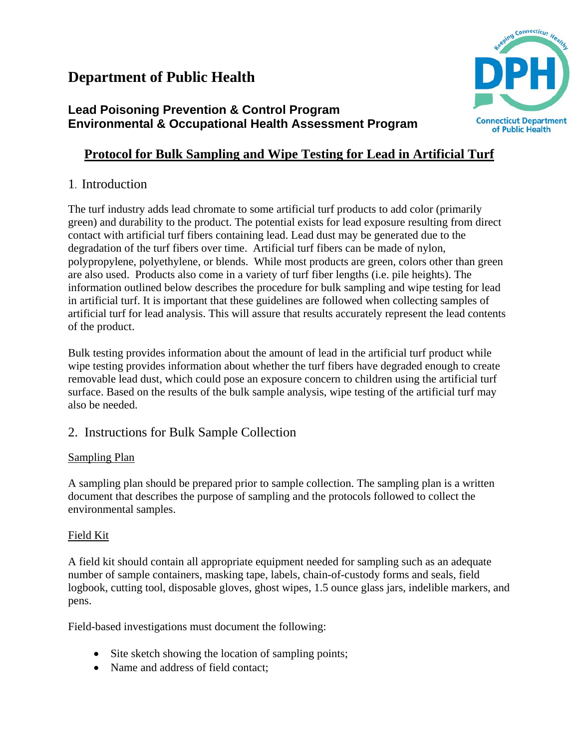## **Department of Public Health**

## **Lead Poisoning Prevention & Control Program Environmental & Occupational Health Assessment Program**

## **Protocol for Bulk Sampling and Wipe Testing for Lead in Artificial Turf**

## 1. Introduction

The turf industry adds lead chromate to some artificial turf products to add color (primarily green) and durability to the product. The potential exists for lead exposure resulting from direct contact with artificial turf fibers containing lead. Lead dust may be generated due to the degradation of the turf fibers over time. Artificial turf fibers can be made of nylon, polypropylene, polyethylene, or blends. While most products are green, colors other than green are also used. Products also come in a variety of turf fiber lengths (i.e. pile heights). The information outlined below describes the procedure for bulk sampling and wipe testing for lead in artificial turf. It is important that these guidelines are followed when collecting samples of artificial turf for lead analysis. This will assure that results accurately represent the lead contents of the product.

Bulk testing provides information about the amount of lead in the artificial turf product while wipe testing provides information about whether the turf fibers have degraded enough to create removable lead dust, which could pose an exposure concern to children using the artificial turf surface. Based on the results of the bulk sample analysis, wipe testing of the artificial turf may also be needed.

## 2. Instructions for Bulk Sample Collection

#### Sampling Plan

A sampling plan should be prepared prior to sample collection. The sampling plan is a written document that describes the purpose of sampling and the protocols followed to collect the environmental samples.

#### Field Kit

A field kit should contain all appropriate equipment needed for sampling such as an adequate number of sample containers, masking tape, labels, chain-of-custody forms and seals, field logbook, cutting tool, disposable gloves, ghost wipes, 1.5 ounce glass jars, indelible markers, and pens.

Field-based investigations must document the following:

- Site sketch showing the location of sampling points;
- Name and address of field contact;

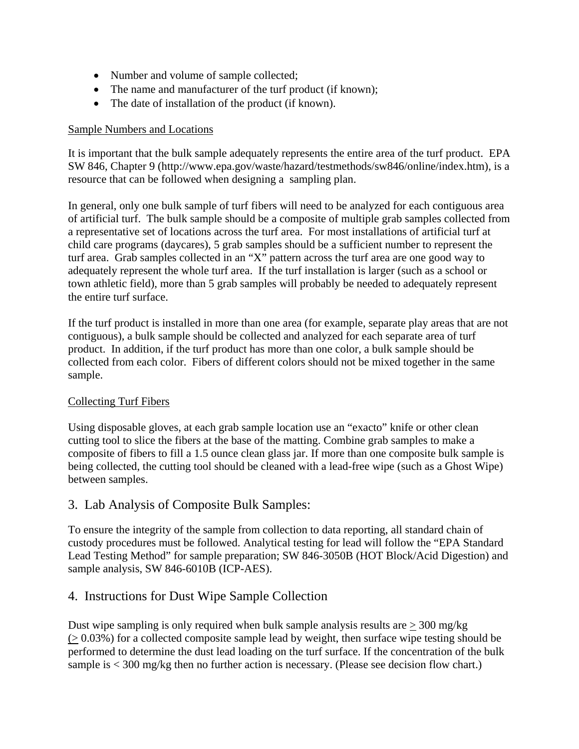- Number and volume of sample collected;
- The name and manufacturer of the turf product (if known);
- The date of installation of the product (if known).

#### Sample Numbers and Locations

It is important that the bulk sample adequately represents the entire area of the turf product. EPA SW 846, Chapter 9 (http://www.epa.gov/waste/hazard/testmethods/sw846/online/index.htm), is a resource that can be followed when designing a sampling plan.

In general, only one bulk sample of turf fibers will need to be analyzed for each contiguous area of artificial turf. The bulk sample should be a composite of multiple grab samples collected from a representative set of locations across the turf area. For most installations of artificial turf at child care programs (daycares), 5 grab samples should be a sufficient number to represent the turf area. Grab samples collected in an "X" pattern across the turf area are one good way to adequately represent the whole turf area. If the turf installation is larger (such as a school or town athletic field), more than 5 grab samples will probably be needed to adequately represent the entire turf surface.

If the turf product is installed in more than one area (for example, separate play areas that are not contiguous), a bulk sample should be collected and analyzed for each separate area of turf product. In addition, if the turf product has more than one color, a bulk sample should be collected from each color. Fibers of different colors should not be mixed together in the same sample.

#### Collecting Turf Fibers

Using disposable gloves, at each grab sample location use an "exacto" knife or other clean cutting tool to slice the fibers at the base of the matting. Combine grab samples to make a composite of fibers to fill a 1.5 ounce clean glass jar. If more than one composite bulk sample is being collected, the cutting tool should be cleaned with a lead-free wipe (such as a Ghost Wipe) between samples.

#### 3. Lab Analysis of Composite Bulk Samples:

To ensure the integrity of the sample from collection to data reporting, all standard chain of custody procedures must be followed. Analytical testing for lead will follow the "EPA Standard Lead Testing Method" for sample preparation; SW 846-3050B (HOT Block/Acid Digestion) and sample analysis, SW 846-6010B (ICP-AES).

#### 4. Instructions for Dust Wipe Sample Collection

Dust wipe sampling is only required when bulk sample analysis results are  $>$  300 mg/kg  $(0.03\%)$  for a collected composite sample lead by weight, then surface wipe testing should be performed to determine the dust lead loading on the turf surface. If the concentration of the bulk sample is  $< 300$  mg/kg then no further action is necessary. (Please see decision flow chart.)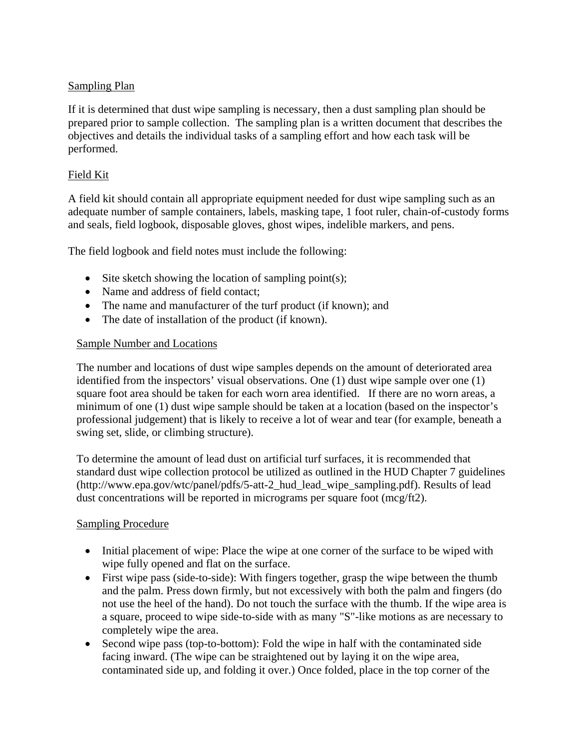#### Sampling Plan

If it is determined that dust wipe sampling is necessary, then a dust sampling plan should be prepared prior to sample collection. The sampling plan is a written document that describes the objectives and details the individual tasks of a sampling effort and how each task will be performed.

#### Field Kit

A field kit should contain all appropriate equipment needed for dust wipe sampling such as an adequate number of sample containers, labels, masking tape, 1 foot ruler, chain-of-custody forms and seals, field logbook, disposable gloves, ghost wipes, indelible markers, and pens.

The field logbook and field notes must include the following:

- Site sketch showing the location of sampling point(s);
- Name and address of field contact;
- The name and manufacturer of the turf product (if known); and
- The date of installation of the product (if known).

#### Sample Number and Locations

The number and locations of dust wipe samples depends on the amount of deteriorated area identified from the inspectors' visual observations. One (1) dust wipe sample over one (1) square foot area should be taken for each worn area identified. If there are no worn areas, a minimum of one (1) dust wipe sample should be taken at a location (based on the inspector's professional judgement) that is likely to receive a lot of wear and tear (for example, beneath a swing set, slide, or climbing structure).

To determine the amount of lead dust on artificial turf surfaces, it is recommended that standard dust wipe collection protocol be utilized as outlined in the HUD Chapter 7 guidelines (http://www.epa.gov/wtc/panel/pdfs/5-att-2\_hud\_lead\_wipe\_sampling.pdf). Results of lead dust concentrations will be reported in micrograms per square foot (mcg/ft2).

#### Sampling Procedure

- Initial placement of wipe: Place the wipe at one corner of the surface to be wiped with wipe fully opened and flat on the surface.
- First wipe pass (side-to-side): With fingers together, grasp the wipe between the thumb and the palm. Press down firmly, but not excessively with both the palm and fingers (do not use the heel of the hand). Do not touch the surface with the thumb. If the wipe area is a square, proceed to wipe side-to-side with as many "S"-like motions as are necessary to completely wipe the area.
- Second wipe pass (top-to-bottom): Fold the wipe in half with the contaminated side facing inward. (The wipe can be straightened out by laying it on the wipe area, contaminated side up, and folding it over.) Once folded, place in the top corner of the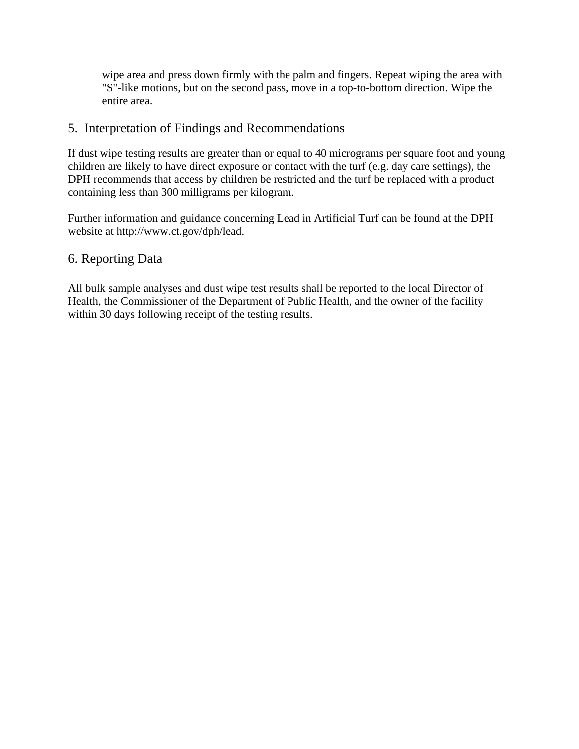wipe area and press down firmly with the palm and fingers. Repeat wiping the area with "S"-like motions, but on the second pass, move in a top-to-bottom direction. Wipe the entire area.

#### 5. Interpretation of Findings and Recommendations

If dust wipe testing results are greater than or equal to 40 micrograms per square foot and young children are likely to have direct exposure or contact with the turf (e.g. day care settings), the DPH recommends that access by children be restricted and the turf be replaced with a product containing less than 300 milligrams per kilogram.

Further information and guidance concerning Lead in Artificial Turf can be found at the DPH website at http://www.ct.gov/dph/lead.

#### 6. Reporting Data

All bulk sample analyses and dust wipe test results shall be reported to the local Director of Health, the Commissioner of the Department of Public Health, and the owner of the facility within 30 days following receipt of the testing results.